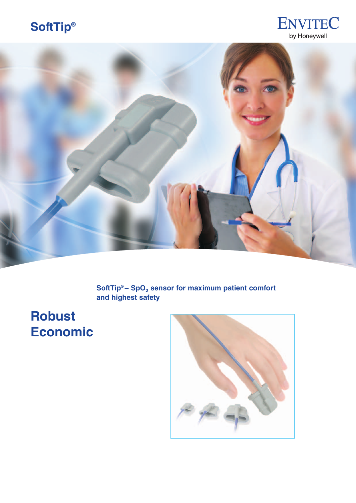## **SoftTip®**





SoftTip® – SpO<sub>2</sub> sensor for maximum patient comfort **and highest safety**

**Robust Economic**

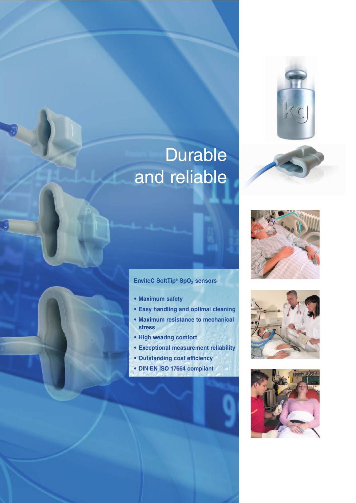

# Durable and reliable



### **EnviteC SoftTip<sup>®</sup> SpO<sub>2</sub> sensors**

- **Maximum safety**
- **Easy handling and optimal cleaning**
- **Maximum resistance to mechanical stress**
- **High wearing comfort**
- **Exceptional measurement reliability**
- **Outstanding cost efficiency**
- **DIN EN ISO 17664 compliant**



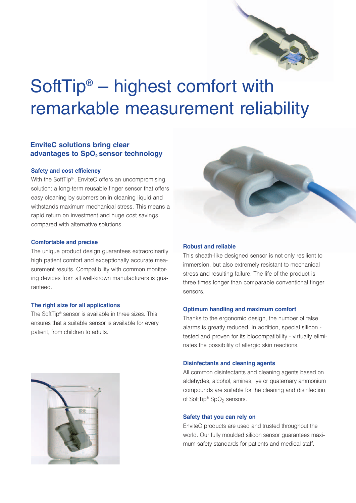

# SoftTip® – highest comfort with remarkable measurement reliability

### **EnviteC solutions bring clear advantages to SpO<sub>2</sub> sensor technology**

#### **Safety and cost efficiency**

With the SoftTip® , EnviteC offers an uncompromising solution: a long-term reusable finger sensor that offers easy cleaning by submersion in cleaning liquid and withstands maximum mechanical stress. This means a rapid return on investment and huge cost savings compared with alternative solutions.

#### **Comfortable and precise**

The unique product design guarantees extraordinarily high patient comfort and exceptionally accurate measurement results. Compatibility with common monitoring devices from all well-known manufacturers is guaranteed.

#### **The right size for all applications**

The SoftTip® sensor is available in three sizes. This ensures that a suitable sensor is available for every patient, from children to adults.



#### **Robust and reliable**

This sheath-like designed sensor is not only resilient to immersion, but also extremely resistant to mechanical stress and resulting failure. The life of the product is three times longer than comparable conventional finger sensors.

#### **Optimum handling and maximum comfort**

Thanks to the ergonomic design, the number of false alarms is greatly reduced. In addition, special silicon tested and proven for its biocompatibility - virtually eliminates the possibility of allergic skin reactions.

#### **Disinfectants and cleaning agents**

All common disinfectants and cleaning agents based on aldehydes, alcohol, amines, lye or quaternary ammonium compounds are suitable for the cleaning and disinfection of SoftTip<sup>®</sup> SpO<sub>2</sub> sensors.

#### **Safety that you can rely on**

EnviteC products are used and trusted throughout the world. Our fully moulded silicon sensor guarantees maximum safety standards for patients and medical staff.